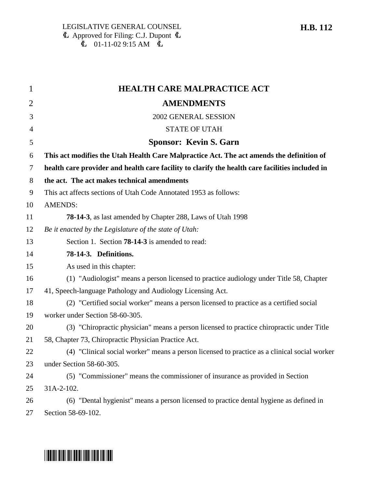| 1              | <b>HEALTH CARE MALPRACTICE ACT</b>                                                              |
|----------------|-------------------------------------------------------------------------------------------------|
| $\overline{2}$ | <b>AMENDMENTS</b>                                                                               |
| 3              | 2002 GENERAL SESSION                                                                            |
| $\overline{4}$ | <b>STATE OF UTAH</b>                                                                            |
| 5              | <b>Sponsor: Kevin S. Garn</b>                                                                   |
| 6              | This act modifies the Utah Health Care Malpractice Act. The act amends the definition of        |
| 7              | health care provider and health care facility to clarify the health care facilities included in |
| 8              | the act. The act makes technical amendments                                                     |
| 9              | This act affects sections of Utah Code Annotated 1953 as follows:                               |
| 10             | <b>AMENDS:</b>                                                                                  |
| 11             | <b>78-14-3</b> , as last amended by Chapter 288, Laws of Utah 1998                              |
| 12             | Be it enacted by the Legislature of the state of Utah:                                          |
| 13             | Section 1. Section <b>78-14-3</b> is amended to read:                                           |
| 14             | 78-14-3. Definitions.                                                                           |
| 15             | As used in this chapter:                                                                        |
| 16             | (1) "Audiologist" means a person licensed to practice audiology under Title 58, Chapter         |
| 17             | 41, Speech-language Pathology and Audiology Licensing Act.                                      |
| 18             | (2) "Certified social worker" means a person licensed to practice as a certified social         |
| 19             | worker under Section 58-60-305.                                                                 |
| 20             | (3) "Chiropractic physician" means a person licensed to practice chiropractic under Title       |
| 21             | 58, Chapter 73, Chiropractic Physician Practice Act.                                            |
| 22             | (4) "Clinical social worker" means a person licensed to practice as a clinical social worker    |
| 23             | under Section 58-60-305.                                                                        |
| 24             | (5) "Commissioner" means the commissioner of insurance as provided in Section                   |
| 25             | $31A-2-102$ .                                                                                   |
| 26             | (6) "Dental hygienist" means a person licensed to practice dental hygiene as defined in         |
| 27             | Section 58-69-102.                                                                              |

# \*HB0112\*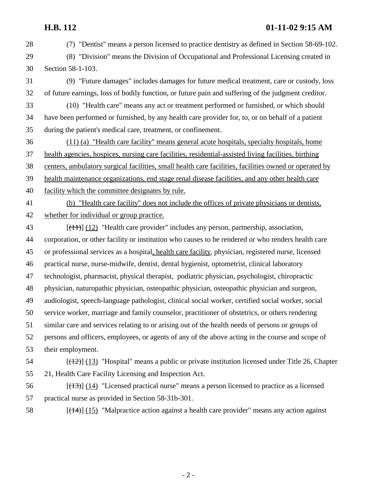### **H.B. 112 01-11-02 9:15 AM**

- 28 (7) "Dentist" means a person licensed to practice dentistry as defined in Section 58-69-102. 29 (8) "Division" means the Division of Occupational and Professional Licensing created in 30 Section 58-1-103. 31 (9) "Future damages" includes damages for future medical treatment, care or custody, loss 32 of future earnings, loss of bodily function, or future pain and suffering of the judgment creditor. 33 (10) "Health care" means any act or treatment performed or furnished, or which should 34 have been performed or furnished, by any health care provider for, to, or on behalf of a patient 35 during the patient's medical care, treatment, or confinement. 36 (11) (a) "Health care facility" means general acute hospitals, specialty hospitals, home 37 health agencies, hospices, nursing care facilities, residential-assisted living facilities, birthing 38 centers, ambulatory surgical facilities, small health care facilities, facilities owned or operated by 39 health maintenance organizations, end stage renal disease facilities, and any other health care 40 facility which the committee designates by rule. 41 (b) "Health care facility" does not include the offices of private physicians or dentists, 42 whether for individual or group practice. 43 [(11)] (12) "Health care provider" includes any person, partnership, association, 44 corporation, or other facility or institution who causes to be rendered or who renders health care 45 or professional services as a hospital, health care facility, physician, registered nurse, licensed 46 practical nurse, nurse-midwife, dentist, dental hygienist, optometrist, clinical laboratory 47 technologist, pharmacist, physical therapist, podiatric physician, psychologist, chiropractic 48 physician, naturopathic physician, osteopathic physician, osteopathic physician and surgeon, 49 audiologist, speech-language pathologist, clinical social worker, certified social worker, social 50 service worker, marriage and family counselor, practitioner of obstetrics, or others rendering 51 similar care and services relating to or arising out of the health needs of persons or groups of 52 persons and officers, employees, or agents of any of the above acting in the course and scope of 53 their employment.  $[({12})]$  (13) "Hospital" means a public or private institution licensed under Title 26, Chapter 55 21, Health Care Facility Licensing and Inspection Act.  $[({13})]$   $[14]$  "Licensed practical nurse" means a person licensed to practice as a licensed 57 practical nurse as provided in Section 58-31b-301.
- 58  $[(14)]$  (15) "Malpractice action against a health care provider" means any action against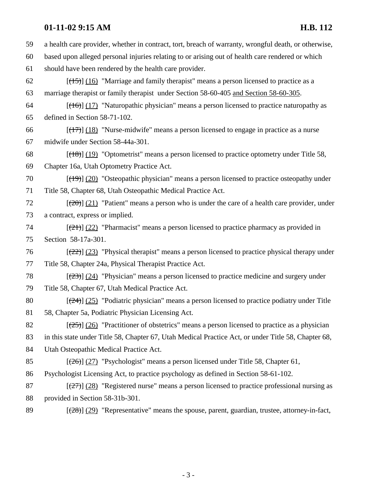### **01-11-02 9:15 AM H.B. 112**

59 a health care provider, whether in contract, tort, breach of warranty, wrongful death, or otherwise, 60 based upon alleged personal injuries relating to or arising out of health care rendered or which 61 should have been rendered by the health care provider.  $[({15})]$  (16) "Marriage and family therapist" means a person licensed to practice as a 63 marriage therapist or family therapist under Section 58-60-405 and Section 58-60-305.  $[({16})]$  (17) "Naturopathic physician" means a person licensed to practice naturopathy as 65 defined in Section 58-71-102. 66  $\left[\frac{(17)}{(18)}\right]$  (18) "Nurse-midwife" means a person licensed to engage in practice as a nurse 67 midwife under Section 58-44a-301. 68  $\left[\frac{18}{19}\right]$  (19) "Optometrist" means a person licensed to practice optometry under Title 58, 69 Chapter 16a, Utah Optometry Practice Act. 70  $[(19)] (20)$  "Osteopathic physician" means a person licensed to practice osteopathy under 71 Title 58, Chapter 68, Utah Osteopathic Medical Practice Act.  $[20]$  [ $(20)$ ] (21) "Patient" means a person who is under the care of a health care provider, under 73 a contract, express or implied. 74  $[(21)] (22)$  "Pharmacist" means a person licensed to practice pharmacy as provided in 75 Section 58-17a-301.  $[22]$  (23) "Physical therapist" means a person licensed to practice physical therapy under 77 Title 58, Chapter 24a, Physical Therapist Practice Act. 78  $\left[\frac{23}{23}\right]$  (24) "Physician" means a person licensed to practice medicine and surgery under 79 Title 58, Chapter 67, Utah Medical Practice Act. 80  $\left[\frac{24}{25}\right]$  (25) "Podiatric physician" means a person licensed to practice podiatry under Title 81 58, Chapter 5a, Podiatric Physician Licensing Act. 82  $[(25)] (26)$  "Practitioner of obstetrics" means a person licensed to practice as a physician 83 in this state under Title 58, Chapter 67, Utah Medical Practice Act, or under Title 58, Chapter 68, 84 Utah Osteopathic Medical Practice Act. 85  $\left[\frac{(26)}{(27)}\right]$  (27) "Psychologist" means a person licensed under Title 58, Chapter 61, 86 Psychologist Licensing Act, to practice psychology as defined in Section 58-61-102. 87  $\left[\frac{27}{27}\right]$  (28) "Registered nurse" means a person licensed to practice professional nursing as 88 provided in Section 58-31b-301. 89  $\left[\frac{(28)}{(29)}\right]$  (29) "Representative" means the spouse, parent, guardian, trustee, attorney-in-fact,